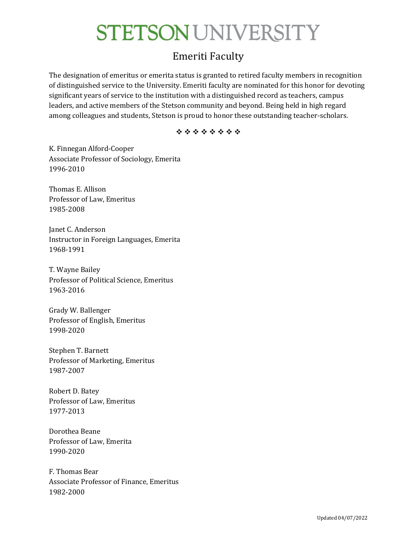### Emeriti Faculty

The designation of emeritus or emerita status is granted to retired faculty members in recognition of distinguished service to the University. Emeriti faculty are nominated for this honor for devoting significant years of service to the institution with a distinguished record as teachers, campus leaders, and active members of the Stetson community and beyond. Being held in high regard among colleagues and students, Stetson is proud to honor these outstanding teacher-scholars.

\*\*\*\*\*\*\*\*

K. Finnegan Alford-Cooper Associate Professor of Sociology, Emerita 1996-2010

Thomas E. Allison Professor of Law, Emeritus 1985-2008

Janet C. Anderson Instructor in Foreign Languages, Emerita 1968-1991

T. Wayne Bailey Professor of Political Science, Emeritus 1963-2016

Grady W. Ballenger Professor of English, Emeritus 1998-2020

Stephen T. Barnett Professor of Marketing, Emeritus 1987-2007

Robert D. Batey Professor of Law, Emeritus 1977-2013

Dorothea Beane Professor of Law, Emerita 1990-2020

F. Thomas Bear Associate Professor of Finance, Emeritus 1982-2000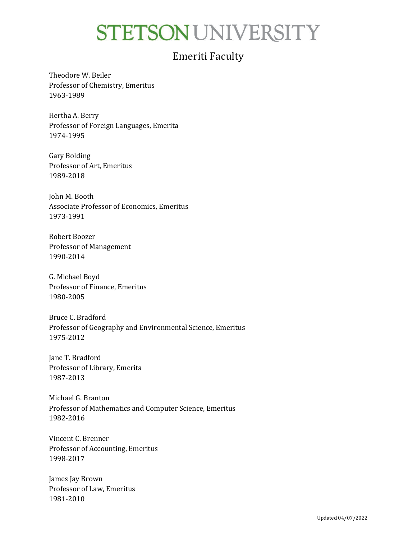#### Emeriti Faculty

Theodore W. Beiler Professor of Chemistry, Emeritus 1963-1989

Hertha A. Berry Professor of Foreign Languages, Emerita 1974-1995

Gary Bolding Professor of Art, Emeritus 1989-2018

John M. Booth Associate Professor of Economics, Emeritus 1973-1991

Robert Boozer Professor of Management 1990-2014

G. Michael Boyd Professor of Finance, Emeritus 1980-2005

Bruce C. Bradford Professor of Geography and Environmental Science, Emeritus 1975-2012

Jane T. Bradford Professor of Library, Emerita 1987-2013

Michael G. Branton Professor of Mathematics and Computer Science, Emeritus 1982-2016

Vincent C. Brenner Professor of Accounting, Emeritus 1998-2017

James Jay Brown Professor of Law, Emeritus 1981-2010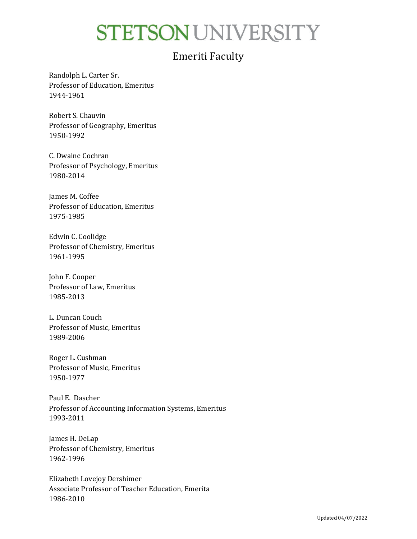### Emeriti Faculty

Randolph L. Carter Sr. Professor of Education, Emeritus 1944-1961

Robert S. Chauvin Professor of Geography, Emeritus 1950-1992

C. Dwaine Cochran Professor of Psychology, Emeritus 1980-2014

James M. Coffee Professor of Education, Emeritus 1975-1985

Edwin C. Coolidge Professor of Chemistry, Emeritus 1961-1995

John F. Cooper Professor of Law, Emeritus 1985-2013

L. Duncan Couch Professor of Music, Emeritus 1989-2006

Roger L. Cushman Professor of Music, Emeritus 1950-1977

Paul E. Dascher Professor of Accounting Information Systems, Emeritus 1993-2011

James H. DeLap Professor of Chemistry, Emeritus 1962-1996

Elizabeth Lovejoy Dershimer Associate Professor of Teacher Education, Emerita 1986-2010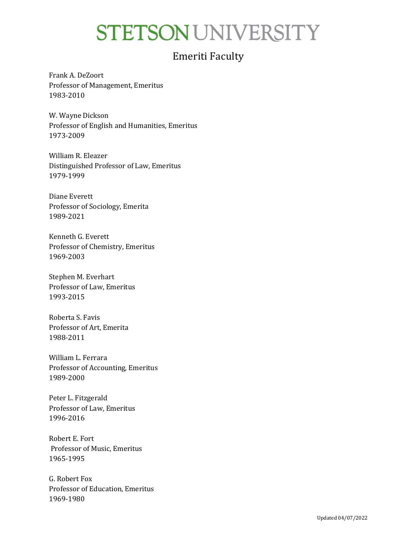### Emeriti Faculty

Frank A. DeZoort Professor of Management, Emeritus 1983-2010

W. Wayne Dickson Professor of English and Humanities, Emeritus 1973-2009

William R. Eleazer Distinguished Professor of Law, Emeritus 1979-1999

Diane Everett Professor of Sociology, Emerita 1989-2021

Kenneth G. Everett Professor of Chemistry, Emeritus 1969-2003

Stephen M. Everhart Professor of Law, Emeritus 1993-2015

Roberta S. Favis Professor of Art, Emerita 1988-2011

William L. Ferrara Professor of Accounting, Emeritus 1989-2000

Peter L. Fitzgerald Professor of Law, Emeritus 1996-2016

Robert E. Fort Professor of Music, Emeritus 1965-1995

G. Robert Fox Professor of Education, Emeritus 1969-1980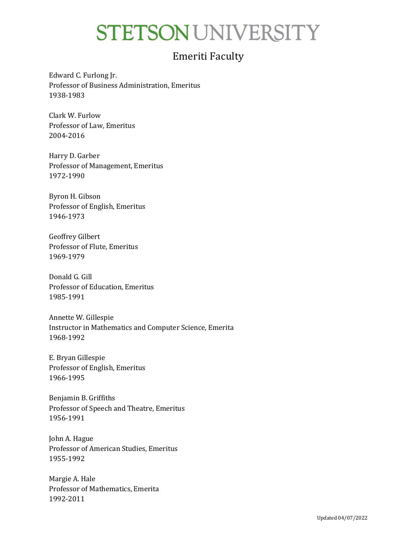### Emeriti Faculty

Edward C. Furlong Jr. Professor of Business Administration, Emeritus 1938-1983

Clark W. Furlow Professor of Law, Emeritus 2004-2016

Harry D. Garber Professor of Management, Emeritus 1972-1990

Byron H. Gibson Professor of English, Emeritus 1946-1973

Geoffrey Gilbert Professor of Flute, Emeritus 1969-1979

Donald G. Gill Professor of Education, Emeritus 1985-1991

Annette W. Gillespie Instructor in Mathematics and Computer Science, Emerita 1968-1992

E. Bryan Gillespie Professor of English, Emeritus 1966-1995

Benjamin B. Griffiths Professor of Speech and Theatre, Emeritus 1956-1991

John A. Hague Professor of American Studies, Emeritus 1955-1992

Margie A. Hale Professor of Mathematics, Emerita 1992-2011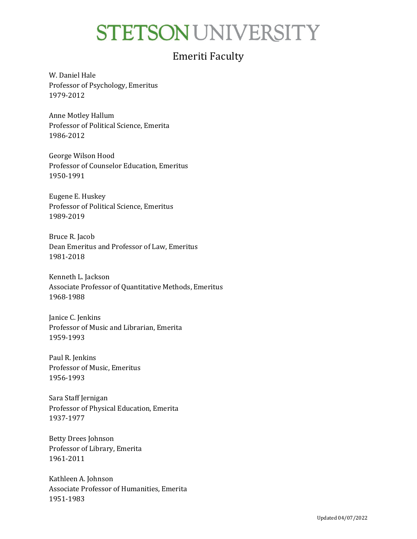### Emeriti Faculty

W. Daniel Hale Professor of Psychology, Emeritus 1979-2012

Anne Motley Hallum Professor of Political Science, Emerita 1986-2012

George Wilson Hood Professor of Counselor Education, Emeritus 1950-1991

Eugene E. Huskey Professor of Political Science, Emeritus 1989-2019

Bruce R. Jacob Dean Emeritus and Professor of Law, Emeritus 1981-2018

Kenneth L. Jackson Associate Professor of Quantitative Methods, Emeritus 1968-1988

Janice C. Jenkins Professor of Music and Librarian, Emerita 1959-1993

Paul R. Jenkins Professor of Music, Emeritus 1956-1993

Sara Staff Jernigan Professor of Physical Education, Emerita 1937-1977

Betty Drees Johnson Professor of Library, Emerita 1961-2011

Kathleen A. Johnson Associate Professor of Humanities, Emerita 1951-1983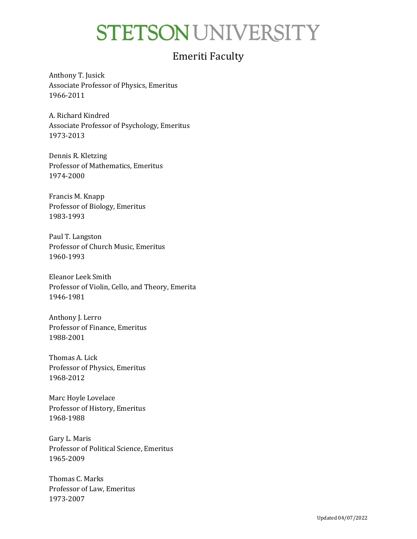### Emeriti Faculty

Anthony T. Jusick Associate Professor of Physics, Emeritus 1966-2011

A. Richard Kindred Associate Professor of Psychology, Emeritus 1973-2013

Dennis R. Kletzing Professor of Mathematics, Emeritus 1974-2000

Francis M. Knapp Professor of Biology, Emeritus 1983-1993

Paul T. Langston Professor of Church Music, Emeritus 1960-1993

Eleanor Leek Smith Professor of Violin, Cello, and Theory, Emerita 1946-1981

Anthony J. Lerro Professor of Finance, Emeritus 1988-2001

Thomas A. Lick Professor of Physics, Emeritus 1968-2012

Marc Hoyle Lovelace Professor of History, Emeritus 1968-1988

Gary L. Maris Professor of Political Science, Emeritus 1965-2009

Thomas C. Marks Professor of Law, Emeritus 1973-2007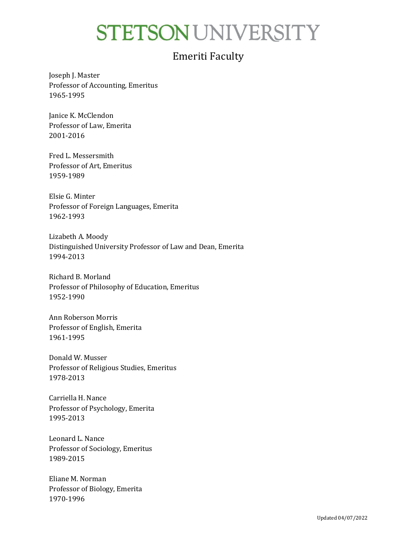### Emeriti Faculty

Joseph J. Master Professor of Accounting, Emeritus 1965-1995

Janice K. McClendon Professor of Law, Emerita 2001-2016

Fred L. Messersmith Professor of Art, Emeritus 1959-1989

Elsie G. Minter Professor of Foreign Languages, Emerita 1962-1993

Lizabeth A. Moody Distinguished University Professor of Law and Dean, Emerita 1994-2013

Richard B. Morland Professor of Philosophy of Education, Emeritus 1952-1990

Ann Roberson Morris Professor of English, Emerita 1961-1995

Donald W. Musser Professor of Religious Studies, Emeritus 1978-2013

Carriella H. Nance Professor of Psychology, Emerita 1995-2013

Leonard L. Nance Professor of Sociology, Emeritus 1989-2015

Eliane M. Norman Professor of Biology, Emerita 1970-1996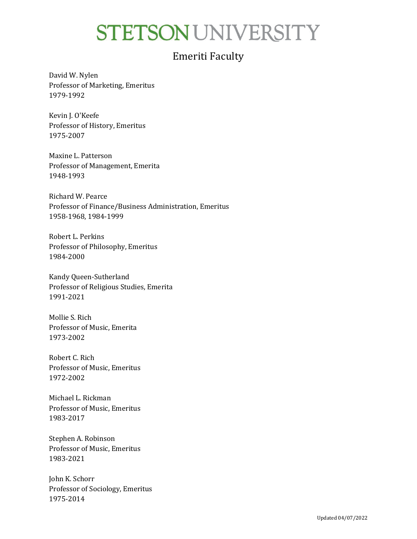### Emeriti Faculty

David W. Nylen Professor of Marketing, Emeritus 1979-1992

Kevin J. O'Keefe Professor of History, Emeritus 1975-2007

Maxine L. Patterson Professor of Management, Emerita 1948-1993

Richard W. Pearce Professor of Finance/Business Administration, Emeritus 1958-1968, 1984-1999

Robert L. Perkins Professor of Philosophy, Emeritus 1984-2000

Kandy Queen-Sutherland Professor of Religious Studies, Emerita 1991-2021

Mollie S. Rich Professor of Music, Emerita 1973-2002

Robert C. Rich Professor of Music, Emeritus 1972-2002

Michael L. Rickman Professor of Music, Emeritus 1983-2017

Stephen A. Robinson Professor of Music, Emeritus 1983-2021

John K. Schorr Professor of Sociology, Emeritus 1975-2014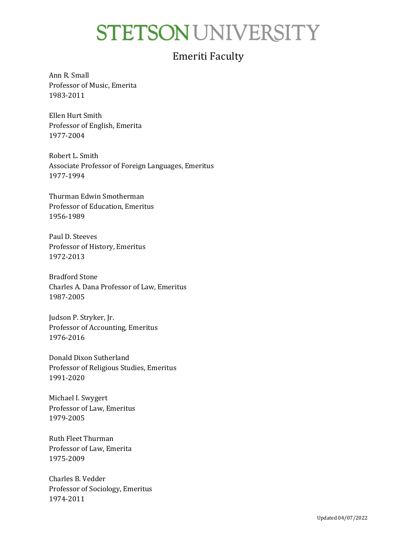### Emeriti Faculty

Ann R. Small Professor of Music, Emerita 1983-2011

Ellen Hurt Smith Professor of English, Emerita 1977-2004

Robert L. Smith Associate Professor of Foreign Languages, Emeritus 1977-1994

Thurman Edwin Smotherman Professor of Education, Emeritus 1956-1989

Paul D. Steeves Professor of History, Emeritus 1972-2013

Bradford Stone Charles A. Dana Professor of Law, Emeritus 1987-2005

Judson P. Stryker, Jr. Professor of Accounting, Emeritus 1976-2016

Donald Dixon Sutherland Professor of Religious Studies, Emeritus 1991-2020

Michael I. Swygert Professor of Law, Emeritus 1979-2005

Ruth Fleet Thurman Professor of Law, Emerita 1975-2009

Charles B. Vedder Professor of Sociology, Emeritus 1974-2011